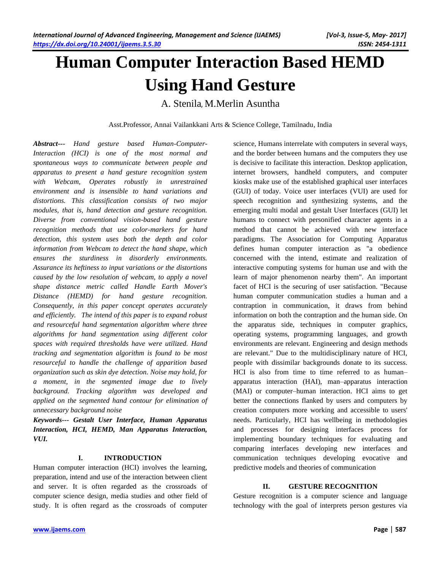# **Human Computer Interaction Based HEMD Using Hand Gesture**

A. Stenila, M.Merlin Asuntha

Asst.Professor, Annai Vailankkani Arts & Science College, Tamilnadu, India

*Abstract***---** *Hand gesture based Human-Computer-Interaction (HCI) is one of the most normal and spontaneous ways to communicate between people and apparatus to present a hand gesture recognition system with Webcam, Operates robustly in unrestrained environment and is insensible to hand variations and distortions. This classification consists of two major modules, that is, hand detection and gesture recognition. Diverse from conventional vision-based hand gesture recognition methods that use color-markers for hand detection, this system uses both the depth and color information from Webcam to detect the hand shape, which ensures the sturdiness in disorderly environments. Assurance its heftiness to input variations or the distortions caused by the low resolution of webcam, to apply a novel shape distance metric called Handle Earth Mover's Distance (HEMD) for hand gesture recognition. Consequently, in this paper concept operates accurately and efficiently. The intend of this paper is to expand robust and resourceful hand segmentation algorithm where three algorithms for hand segmentation using different color spaces with required thresholds have were utilized. Hand tracking and segmentation algorithm is found to be most resourceful to handle the challenge of apparition based organization such as skin dye detection. Noise may hold, for a moment, in the segmented image due to lively background. Tracking algorithm was developed and applied on the segmented hand contour for elimination of unnecessary background noise*

*Keywords--- Gestalt User Interface, Human Apparatus Interaction, HCI, HEMD, Man Apparatus Interaction, VUI.*

#### **I. INTRODUCTION**

Human computer interaction (HCI) involves the learning, preparation, intend and use of the interaction between client and server. It is often regarded as the crossroads of computer science design, media studies and other field of study. It is often regard as the crossroads of computer science, Humans interrelate with computers in several ways, and the border between humans and the computers they use is decisive to facilitate this interaction. Desktop application, internet browsers, handheld computers, and computer kiosks make use of the established graphical user interfaces (GUI) of today. Voice user interfaces (VUI) are used for speech recognition and synthesizing systems, and the emerging multi modal and gestalt User Interfaces (GUI) let humans to connect with personified character agents in a method that cannot be achieved with new interface paradigms. The Association for Computing Apparatus defines human computer interaction as "a obedience concerned with the intend, estimate and realization of interactive computing systems for human use and with the learn of major phenomenon nearby them". An important facet of HCI is the securing of user satisfaction. "Because human computer communication studies a human and a contraption in communication, it draws from behind information on both the contraption and the human side. On the apparatus side, techniques in computer graphics, operating systems, programming languages, and growth environments are relevant. Engineering and design methods are relevant." Due to the multidisciplinary nature of HCI, people with dissimilar backgrounds donate to its success. HCI is also from time to time referred to as human– apparatus interaction (HAI), man–apparatus interaction (MAI) or computer–human interaction. HCI aims to get better the connections flanked by users and computers by creation computers more working and accessible to users' needs. Particularly, HCI has wellbeing in methodologies and processes for designing interfaces process for implementing boundary techniques for evaluating and comparing interfaces developing new interfaces and communication techniques developing evocative and predictive models and theories of communication

#### **II. GESTURE RECOGNITION**

Gesture recognition is a computer science and language technology with the goal of interprets person gestures via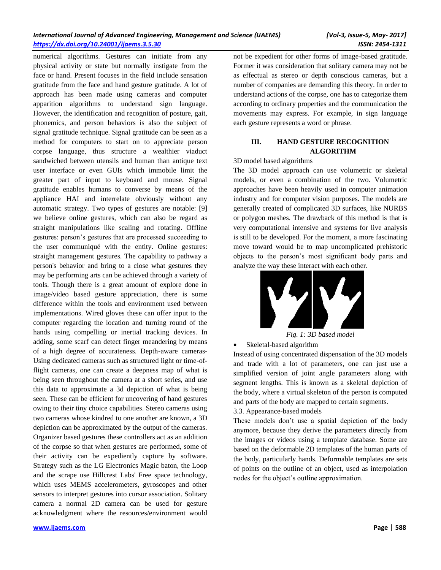numerical algorithms. Gestures can initiate from any physical activity or state but normally instigate from the face or hand. Present focuses in the field include sensation gratitude from the face and hand gesture gratitude. A lot of approach has been made using cameras and computer apparition algorithms to understand sign language. However, the identification and recognition of posture, gait, phonemics, and person behaviors is also the subject of signal gratitude technique. Signal gratitude can be seen as a method for computers to start on to appreciate person corpse language, thus structure a wealthier viaduct sandwiched between utensils and human than antique text user interface or even GUIs which immobile limit the greater part of input to keyboard and mouse. Signal gratitude enables humans to converse by means of the appliance HAI and interrelate obviously without any automatic strategy. Two types of gestures are notable: [9] we believe online gestures, which can also be regard as straight manipulations like scaling and rotating. Offline gestures: person's gestures that are processed succeeding to the user communiqué with the entity. Online gestures: straight management gestures. The capability to pathway a person's behavior and bring to a close what gestures they may be performing arts can be achieved through a variety of tools. Though there is a great amount of explore done in image/video based gesture appreciation, there is some difference within the tools and environment used between implementations. Wired gloves these can offer input to the computer regarding the location and turning round of the hands using compelling or inertial tracking devices. In adding, some scarf can detect finger meandering by means of a high degree of accurateness. Depth-aware cameras-Using dedicated cameras such as structured light or time-offlight cameras, one can create a deepness map of what is being seen throughout the camera at a short series, and use this data to approximate a 3d depiction of what is being seen. These can be efficient for uncovering of hand gestures owing to their tiny choice capabilities. Stereo cameras using two cameras whose kindred to one another are known, a 3D depiction can be approximated by the output of the cameras. Organizer based gestures these controllers act as an addition of the corpse so that when gestures are performed, some of their activity can be expediently capture by software. Strategy such as the LG Electronics Magic baton, the Loop and the scrape use Hillcrest Labs' Free space technology, which uses MEMS accelerometers, gyroscopes and other sensors to interpret gestures into cursor association. Solitary camera a normal 2D camera can be used for gesture acknowledgment where the resources/environment would

not be expedient for other forms of image-based gratitude. Former it was consideration that solitary camera may not be as effectual as stereo or depth conscious cameras, but a number of companies are demanding this theory. In order to understand actions of the corpse, one has to categorize them according to ordinary properties and the communication the movements may express. For example, in sign language each gesture represents a word or phrase.

# **III. HAND GESTURE RECOGNITION ALGORITHM**

3D model based algorithms

The 3D model approach can use volumetric or skeletal models, or even a combination of the two. Volumetric approaches have been heavily used in computer animation industry and for computer vision purposes. The models are generally created of complicated 3D surfaces, like NURBS or polygon meshes. The drawback of this method is that is very computational intensive and systems for live analysis is still to be developed. For the moment, a more fascinating move toward would be to map uncomplicated prehistoric objects to the person's most significant body parts and analyze the way these interact with each other.



*Fig. 1: 3D based model*

# Skeletal-based algorithm

Instead of using concentrated dispensation of the 3D models and trade with a lot of parameters, one can just use a simplified version of joint angle parameters along with segment lengths. This is known as a skeletal depiction of the body, where a virtual skeleton of the person is computed and parts of the body are mapped to certain segments. 3.3. Appearance-based models

These models don't use a spatial depiction of the body anymore, because they derive the parameters directly from the images or videos using a template database. Some are based on the deformable 2D templates of the human parts of the body, particularly hands. Deformable templates are sets of points on the outline of an object, used as interpolation nodes for the object's outline approximation.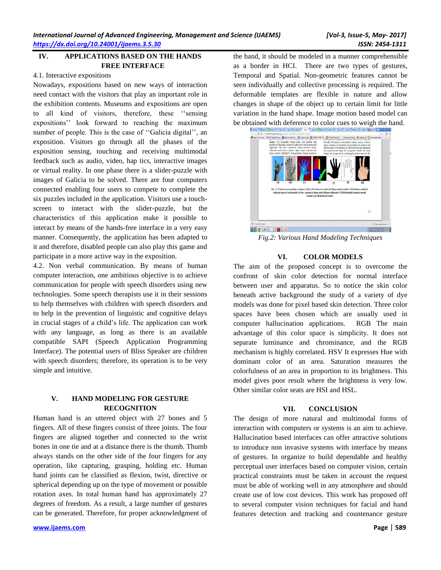# **IV. APPLICATIONS BASED ON THE HANDS FREE INTERFACE**

#### 4.1. Interactive expositions

Nowadays, expositions based on new ways of interaction need contact with the visitors that play an important role in the exhibition contents. Museums and expositions are open to all kind of visitors, therefore, these ''sensing expositions'' look forward to reaching the maximum number of people. This is the case of ''Galicia digital'', an exposition. Visitors go through all the phases of the exposition sensing, touching and receiving multimodal feedback such as audio, video, hap tics, interactive images or virtual reality. In one phase there is a slider-puzzle with images of Galicia to be solved. There are four computers connected enabling four users to compete to complete the six puzzles included in the application. Visitors use a touchscreen to interact with the slider-puzzle, but the characteristics of this application make it possible to interact by means of the hands-free interface in a very easy manner. Consequently, the application has been adapted to it and therefore, disabled people can also play this game and participate in a more active way in the exposition.

4.2. Non verbal communication. By means of human computer interaction, one ambitious objective is to achieve communication for people with speech disorders using new technologies. Some speech therapists use it in their sessions to help themselves with children with speech disorders and to help in the prevention of linguistic and cognitive delays in crucial stages of a child's life. The application can work with any language, as long as there is an available compatible SAPI (Speech Application Programming Interface). The potential users of Bliss Speaker are children with speech disorders; therefore, its operation is to be very simple and intuitive.

# **V. HAND MODELING FOR GESTURE RECOGNITION**

Human hand is an uttered object with 27 bones and 5 fingers. All of these fingers consist of three joints. The four fingers are aligned together and connected to the wrist bones in one tie and at a distance there is the thumb. Thumb always stands on the other side of the four fingers for any operation, like capturing, grasping, holding etc. Human hand joints can be classified as flexion, twist, directive or spherical depending up on the type of movement or possible rotation axes. In total human hand has approximately 27 degrees of freedom. As a result, a large number of gestures can be generated. Therefore, for proper acknowledgment of the hand, it should be modeled in a manner comprehensible as a border in HCI. There are two types of gestures, Temporal and Spatial. Non-geometric features cannot be seen individually and collective processing is required. The deformable templates are flexible in nature and allow changes in shape of the object up to certain limit for little variation in the hand shape. Image motion based model can be obtained with deference to color cues to weigh the hand.



*Fig.2: Various Hand Modeling Techniques*

# **VI. COLOR MODELS**

The aim of the proposed concept is to overcome the confront of skin color detection for normal interface between user and apparatus. So to notice the skin color beneath active background the study of a variety of dye models was done for pixel based skin detection. Three color spaces have been chosen which are usually used in computer hallucination applications. RGB The main advantage of this color space is simplicity. It does not separate luminance and chrominance, and the RGB mechanism is highly correlated. HSV It expresses Hue with dominant color of an area. Saturation measures the colorfulness of an area in proportion to its brightness. This model gives poor result where the brightness is very low. Other similar color seats are HSI and HSL.

# **VII. CONCLUSION**

The design of more natural and multimodal forms of interaction with computers or systems is an aim to achieve. Hallucination based interfaces can offer attractive solutions to introduce non invasive systems with interface by means of gestures. In organize to build dependable and healthy perceptual user interfaces based on computer vision, certain practical constraints must be taken in account the request must be able of working well in any atmosphere and should create use of low cost devices. This work has proposed off to several computer vision techniques for facial and hand features detection and tracking and countenance gesture